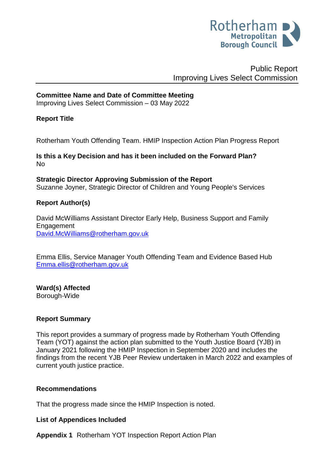

# Public Report Improving Lives Select Commission

#### **Committee Name and Date of Committee Meeting**

Improving Lives Select Commission – 03 May 2022

#### **Report Title**

Rotherham Youth Offending Team. HMIP Inspection Action Plan Progress Report

**Is this a Key Decision and has it been included on the Forward Plan?**  No

**Strategic Director Approving Submission of the Report** Suzanne Joyner, Strategic Director of Children and Young People's Services

#### **Report Author(s)**

David McWilliams Assistant Director Early Help, Business Support and Family Engagement [David.McWilliams@rotherham.gov.uk](mailto:David.McWilliams@rotherham.gov.uk)

Emma Ellis, Service Manager Youth Offending Team and Evidence Based Hub [Emma.ellis@rotherham.gov.uk](mailto:Emma.ellis@rotherham.gov.uk)

**Ward(s) Affected** Borough-Wide

#### **Report Summary**

This report provides a summary of progress made by Rotherham Youth Offending Team (YOT) against the action plan submitted to the Youth Justice Board (YJB) in January 2021 following the HMIP Inspection in September 2020 and includes the findings from the recent YJB Peer Review undertaken in March 2022 and examples of current youth justice practice.

#### **Recommendations**

That the progress made since the HMIP Inspection is noted.

#### **List of Appendices Included**

**Appendix 1** Rotherham YOT Inspection Report Action Plan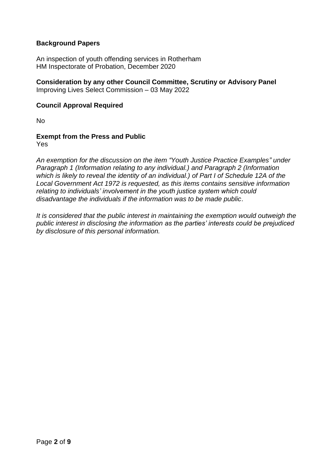### **Background Papers**

An inspection of youth offending services in Rotherham HM Inspectorate of Probation, December 2020

# **Consideration by any other Council Committee, Scrutiny or Advisory Panel**

Improving Lives Select Commission – 03 May 2022

#### **Council Approval Required**

No

# **Exempt from the Press and Public**

Yes

*An exemption for the discussion on the item "Youth Justice Practice Examples" under Paragraph 1 (Information relating to any individual.) and Paragraph 2 (Information which is likely to reveal the identity of an individual.) of Part I of Schedule 12A of the Local Government Act 1972 is requested, as this items contains sensitive information relating to individuals' involvement in the youth justice system which could disadvantage the individuals if the information was to be made public*.

*It is considered that the public interest in maintaining the exemption would outweigh the public interest in disclosing the information as the parties' interests could be prejudiced by disclosure of this personal information.*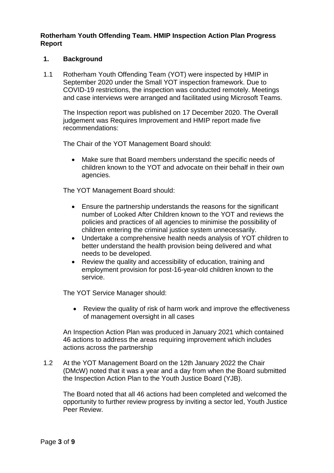#### **Rotherham Youth Offending Team. HMIP Inspection Action Plan Progress Report**

#### **1. Background**

1.1 Rotherham Youth Offending Team (YOT) were inspected by HMIP in September 2020 under the Small YOT inspection framework. Due to COVID-19 restrictions, the inspection was conducted remotely. Meetings and case interviews were arranged and facilitated using Microsoft Teams.

The Inspection report was published on 17 December 2020. The Overall judgement was Requires Improvement and HMIP report made five recommendations:

The Chair of the YOT Management Board should:

 Make sure that Board members understand the specific needs of children known to the YOT and advocate on their behalf in their own agencies.

The YOT Management Board should:

- Ensure the partnership understands the reasons for the significant number of Looked After Children known to the YOT and reviews the policies and practices of all agencies to minimise the possibility of children entering the criminal justice system unnecessarily.
- Undertake a comprehensive health needs analysis of YOT children to better understand the health provision being delivered and what needs to be developed.
- Review the quality and accessibility of education, training and employment provision for post-16-year-old children known to the service.

The YOT Service Manager should:

• Review the quality of risk of harm work and improve the effectiveness of management oversight in all cases

An Inspection Action Plan was produced in January 2021 which contained 46 actions to address the areas requiring improvement which includes actions across the partnership

1.2 At the YOT Management Board on the 12th January 2022 the Chair (DMcW) noted that it was a year and a day from when the Board submitted the Inspection Action Plan to the Youth Justice Board (YJB).

The Board noted that all 46 actions had been completed and welcomed the opportunity to further review progress by inviting a sector led, Youth Justice Peer Review.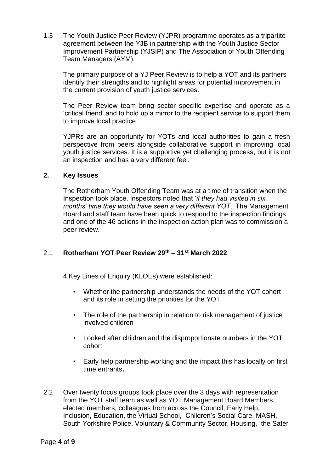1.3 The Youth Justice Peer Review (YJPR) programme operates as a tripartite agreement between the YJB in partnership with the Youth Justice Sector Improvement Partnership (YJSIP) and The Association of Youth Offending Team Managers (AYM).

The primary purpose of a YJ Peer Review is to help a YOT and its partners identify their strengths and to highlight areas for potential improvement in the current provision of youth justice services.

The Peer Review team bring sector specific expertise and operate as a 'critical friend' and to hold up a mirror to the recipient service to support them to improve local practice

YJPRs are an opportunity for YOTs and local authorities to gain a fresh perspective from peers alongside collaborative support in improving local youth justice services. It is a supportive yet challenging process, but it is not an inspection and has a very different feel.

#### **2. Key Issues**

The Rotherham Youth Offending Team was at a time of transition when the Inspection took place. Inspectors noted that '*if they had visited in six months' time they would have seen a very different YOT*.' The Management Board and staff team have been quick to respond to the inspection findings and one of the 46 actions in the inspection action plan was to commission a peer review.

# 2.1 **Rotherham YOT Peer Review 29th – 31st March 2022**

4 Key Lines of Enquiry (KLOEs) were established:

- Whether the partnership understands the needs of the YOT cohort and its role in setting the priorities for the YOT
- The role of the partnership in relation to risk management of justice involved children
- Looked after children and the disproportionate numbers in the YOT cohort
- Early help partnership working and the impact this has locally on first time entrants**.**
- 2.2 Over twenty focus groups took place over the 3 days with representation from the YOT staff team as well as YOT Management Board Members, elected members, colleagues from across the Council, Early Help, Inclusion, Education, the Virtual School, Children's Social Care, MASH, South Yorkshire Police, Voluntary & Community Sector, Housing, the Safer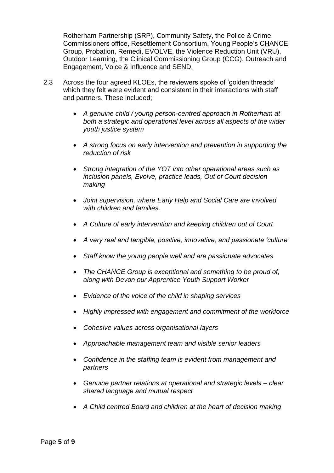Rotherham Partnership (SRP), Community Safety, the Police & Crime Commissioners office, Resettlement Consortium, Young People's CHANCE Group, Probation, Remedi, EVOLVE, the Violence Reduction Unit (VRU), Outdoor Learning, the Clinical Commissioning Group (CCG), Outreach and Engagement, Voice & Influence and SEND.

- 2.3 Across the four agreed KLOEs, the reviewers spoke of 'golden threads' which they felt were evident and consistent in their interactions with staff and partners. These included;
	- *A genuine child / young person-centred approach in Rotherham at both a strategic and operational level across all aspects of the wider youth justice system*
	- *A strong focus on early intervention and prevention in supporting the reduction of risk*
	- *Strong integration of the YOT into other operational areas such as inclusion panels, Evolve, practice leads, Out of Court decision making*
	- *Joint supervision, where Early Help and Social Care are involved with children and families.*
	- *A Culture of early intervention and keeping children out of Court*
	- *A very real and tangible, positive, innovative, and passionate 'culture'*
	- *Staff know the young people well and are passionate advocates*
	- *The CHANCE Group is exceptional and something to be proud of, along with Devon our Apprentice Youth Support Worker*
	- *Evidence of the voice of the child in shaping services*
	- *Highly impressed with engagement and commitment of the workforce*
	- *Cohesive values across organisational layers*
	- *Approachable management team and visible senior leaders*
	- *Confidence in the staffing team is evident from management and partners*
	- *Genuine partner relations at operational and strategic levels – clear shared language and mutual respect*
	- *A Child centred Board and children at the heart of decision making*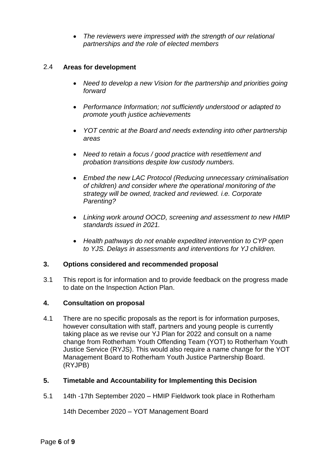*The reviewers were impressed with the strength of our relational partnerships and the role of elected members*

#### 2.4 **Areas for development**

- *Need to develop a new Vision for the partnership and priorities going forward*
- *Performance Information; not sufficiently understood or adapted to promote youth justice achievements*
- *YOT centric at the Board and needs extending into other partnership areas*
- *Need to retain a focus / good practice with resettlement and probation transitions despite low custody numbers.*
- *Embed the new LAC Protocol (Reducing unnecessary criminalisation of children) and consider where the operational monitoring of the strategy will be owned, tracked and reviewed. i.e. Corporate Parenting?*
- *Linking work around OOCD, screening and assessment to new HMIP standards issued in 2021.*
- *Health pathways do not enable expedited intervention to CYP open to YJS. Delays in assessments and interventions for YJ children.*

#### **3. Options considered and recommended proposal**

3.1 This report is for information and to provide feedback on the progress made to date on the Inspection Action Plan.

## **4. Consultation on proposal**

4.1 There are no specific proposals as the report is for information purposes, however consultation with staff, partners and young people is currently taking place as we revise our YJ Plan for 2022 and consult on a name change from Rotherham Youth Offending Team (YOT) to Rotherham Youth Justice Service (RYJS). This would also require a name change for the YOT Management Board to Rotherham Youth Justice Partnership Board. (RYJPB)

#### **5. Timetable and Accountability for Implementing this Decision**

5.1 14th -17th September 2020 – HMIP Fieldwork took place in Rotherham

14th December 2020 – YOT Management Board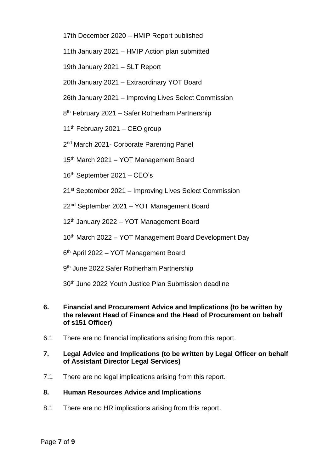- 17th December 2020 HMIP Report published
- 11th January 2021 HMIP Action plan submitted
- 19th January 2021 SLT Report
- 20th January 2021 Extraordinary YOT Board
- 26th January 2021 Improving Lives Select Commission
- 8<sup>th</sup> February 2021 Safer Rotherham Partnership
- $11<sup>th</sup>$  February 2021 CEO group
- 2<sup>nd</sup> March 2021- Corporate Parenting Panel
- 15<sup>th</sup> March 2021 YOT Management Board
- 16th September 2021 CEO's
- 21st September 2021 Improving Lives Select Commission
- 22nd September 2021 YOT Management Board
- 12<sup>th</sup> January 2022 YOT Management Board
- 10<sup>th</sup> March 2022 YOT Management Board Development Day
- 6 th April 2022 YOT Management Board
- 9<sup>th</sup> June 2022 Safer Rotherham Partnership
- 30th June 2022 Youth Justice Plan Submission deadline
- **6. Financial and Procurement Advice and Implications (to be written by the relevant Head of Finance and the Head of Procurement on behalf of s151 Officer)**
- 6.1 There are no financial implications arising from this report.
- **7. Legal Advice and Implications (to be written by Legal Officer on behalf of Assistant Director Legal Services)**
- 7.1 There are no legal implications arising from this report.
- **8. Human Resources Advice and Implications**
- 8.1 There are no HR implications arising from this report.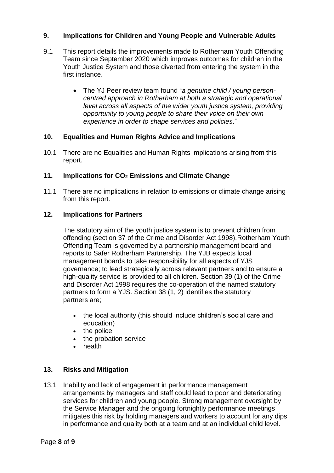### **9. Implications for Children and Young People and Vulnerable Adults**

- 9.1 This report details the improvements made to Rotherham Youth Offending Team since September 2020 which improves outcomes for children in the Youth Justice System and those diverted from entering the system in the first instance.
	- The YJ Peer review team found "*a genuine child / young personcentred approach in Rotherham at both a strategic and operational level across all aspects of the wider youth justice system, providing opportunity to young people to share their voice on their own experience in order to shape services and policies*."

#### **10. Equalities and Human Rights Advice and Implications**

10.1 There are no Equalities and Human Rights implications arising from this report.

#### **11. Implications for CO<sup>2</sup> Emissions and Climate Change**

11.1 There are no implications in relation to emissions or climate change arising from this report.

#### **12. Implications for Partners**

The statutory aim of the youth justice system is to prevent children from offending (section 37 of the Crime and Disorder Act 1998).Rotherham Youth Offending Team is governed by a partnership management board and reports to Safer Rotherham Partnership. The YJB expects local management boards to take responsibility for all aspects of YJS governance; to lead strategically across relevant partners and to ensure a high-quality service is provided to all children. Section 39 (1) of the Crime and Disorder Act 1998 requires the co-operation of the named statutory partners to form a YJS. Section 38 (1, 2) identifies the statutory partners are;

- the local authority (this should include children's social care and education)
- the police
- the probation service
- health

#### **13. Risks and Mitigation**

13.1 Inability and lack of engagement in performance management arrangements by managers and staff could lead to poor and deteriorating services for children and young people. Strong management oversight by the Service Manager and the ongoing fortnightly performance meetings mitigates this risk by holding managers and workers to account for any dips in performance and quality both at a team and at an individual child level.